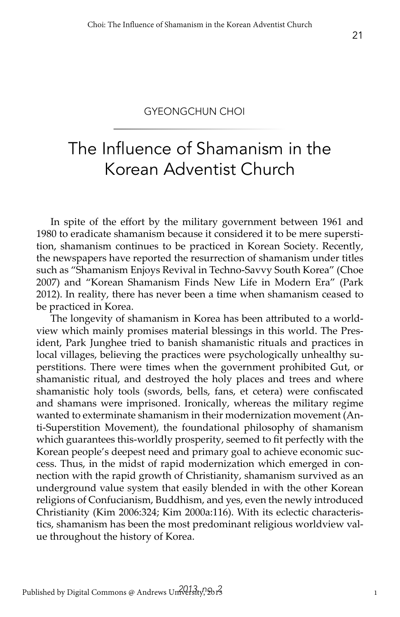#### GYEONGCHUN CHOI

# The Influence of Shamanism in the Korean Adventist Church

In spite of the effort by the military government between 1961 and 1980 to eradicate shamanism because it considered it to be mere superstition, shamanism continues to be practiced in Korean Society. Recently, the newspapers have reported the resurrection of shamanism under titles such as "Shamanism Enjoys Revival in Techno-Savvy South Korea" (Choe 2007) and "Korean Shamanism Finds New Life in Modern Era" (Park 2012). In reality, there has never been a time when shamanism ceased to be practiced in Korea.

The longevity of shamanism in Korea has been attributed to a worldview which mainly promises material blessings in this world. The President, Park Junghee tried to banish shamanistic rituals and practices in local villages, believing the practices were psychologically unhealthy superstitions. There were times when the government prohibited Gut, or shamanistic ritual, and destroyed the holy places and trees and where shamanistic holy tools (swords, bells, fans, et cetera) were confiscated and shamans were imprisoned. Ironically, whereas the military regime wanted to exterminate shamanism in their modernization movement (Anti-Superstition Movement), the foundational philosophy of shamanism which guarantees this-worldly prosperity, seemed to fit perfectly with the Korean people's deepest need and primary goal to achieve economic success. Thus, in the midst of rapid modernization which emerged in connection with the rapid growth of Christianity, shamanism survived as an underground value system that easily blended in with the other Korean religions of Confucianism, Buddhism, and yes, even the newly introduced Christianity (Kim 2006:324; Kim 2000a:116). With its eclectic characteristics, shamanism has been the most predominant religious worldview value throughout the history of Korea.

21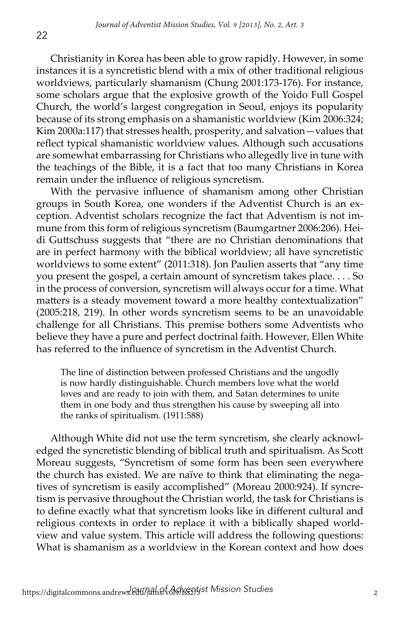Christianity in Korea has been able to grow rapidly. However, in some instances it is a syncretistic blend with a mix of other traditional religious worldviews, particularly shamanism (Chung 2001:173-176). For instance, some scholars argue that the explosive growth of the Yoido Full Gospel Church, the world's largest congregation in Seoul, enjoys its popularity because of its strong emphasis on a shamanistic worldview (Kim 2006:324; Kim 2000a:117) that stresses health, prosperity, and salvation—values that reflect typical shamanistic worldview values. Although such accusations are somewhat embarrassing for Christians who allegedly live in tune with the teachings of the Bible, it is a fact that too many Christians in Korea remain under the influence of religious syncretism.

With the pervasive influence of shamanism among other Christian groups in South Korea, one wonders if the Adventist Church is an exception. Adventist scholars recognize the fact that Adventism is not immune from this form of religious syncretism (Baumgartner 2006:206). Heidi Guttschuss suggests that "there are no Christian denominations that are in perfect harmony with the biblical worldview; all have syncretistic worldviews to some extent" (2011:318). Jon Paulien asserts that "any time you present the gospel, a certain amount of syncretism takes place. . . . So in the process of conversion, syncretism will always occur for a time. What matters is a steady movement toward a more healthy contextualization" (2005:218, 219). In other words syncretism seems to be an unavoidable challenge for all Christians. This premise bothers some Adventists who believe they have a pure and perfect doctrinal faith. However, Ellen White has referred to the influence of syncretism in the Adventist Church.

The line of distinction between professed Christians and the ungodly is now hardly distinguishable. Church members love what the world loves and are ready to join with them, and Satan determines to unite them in one body and thus strengthen his cause by sweeping all into the ranks of spiritualism. (1911:588)

Although White did not use the term syncretism, she clearly acknowledged the syncretistic blending of biblical truth and spiritualism. As Scott Moreau suggests, "Syncretism of some form has been seen everywhere the church has existed. We are naïve to think that eliminating the negatives of syncretism is easily accomplished" (Moreau 2000:924). If syncretism is pervasive throughout the Christian world, the task for Christians is to define exactly what that syncretism looks like in different cultural and religious contexts in order to replace it with a biblically shaped worldview and value system. This article will address the following questions: What is shamanism as a worldview in the Korean context and how does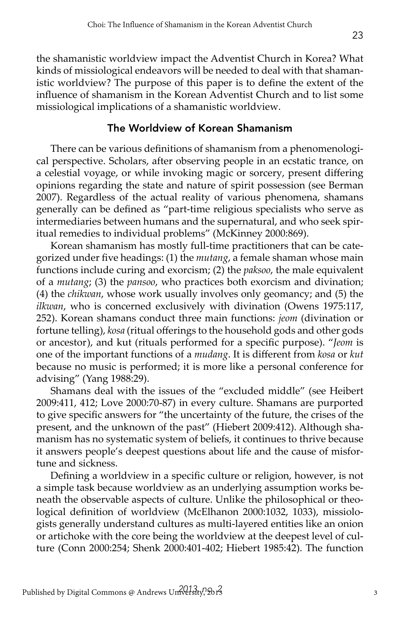the shamanistic worldview impact the Adventist Church in Korea? What kinds of missiological endeavors will be needed to deal with that shamanistic worldview? The purpose of this paper is to define the extent of the influence of shamanism in the Korean Adventist Church and to list some missiological implications of a shamanistic worldview.

### The Worldview of Korean Shamanism

There can be various definitions of shamanism from a phenomenological perspective. Scholars, after observing people in an ecstatic trance, on a celestial voyage, or while invoking magic or sorcery, present differing opinions regarding the state and nature of spirit possession (see Berman 2007). Regardless of the actual reality of various phenomena, shamans generally can be defined as "part-time religious specialists who serve as intermediaries between humans and the supernatural, and who seek spiritual remedies to individual problems" (McKinney 2000:869).

Korean shamanism has mostly full-time practitioners that can be categorized under five headings: (1) the *mutang*, a female shaman whose main functions include curing and exorcism; (2) the *paksoo*, the male equivalent of a *mutang*; (3) the *pansoo*, who practices both exorcism and divination; (4) the *chikwan*, whose work usually involves only geomancy; and (5) the *ilkwan*, who is concerned exclusively with divination (Owens 1975:117, 252). Korean shamans conduct three main functions: *jeom* (divination or fortune telling), *kosa* (ritual offerings to the household gods and other gods or ancestor), and kut (rituals performed for a specific purpose). "*Jeom* is one of the important functions of a *mudang*. It is different from *kosa* or *kut*  because no music is performed; it is more like a personal conference for advising" (Yang 1988:29).

Shamans deal with the issues of the "excluded middle" (see Heibert 2009:411, 412; Love 2000:70-87) in every culture. Shamans are purported to give specific answers for "the uncertainty of the future, the crises of the present, and the unknown of the past" (Hiebert 2009:412). Although shamanism has no systematic system of beliefs, it continues to thrive because it answers people's deepest questions about life and the cause of misfortune and sickness.

Defining a worldview in a specific culture or religion, however, is not a simple task because worldview as an underlying assumption works beneath the observable aspects of culture. Unlike the philosophical or theological definition of worldview (McElhanon 2000:1032, 1033), missiologists generally understand cultures as multi-layered entities like an onion or artichoke with the core being the worldview at the deepest level of culture (Conn 2000:254; Shenk 2000:401-402; Hiebert 1985:42). The function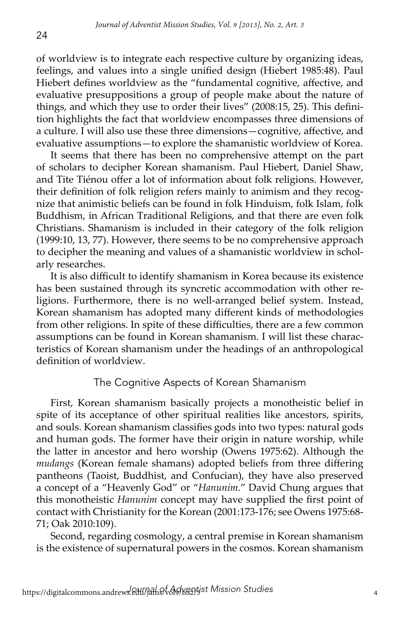of worldview is to integrate each respective culture by organizing ideas, feelings, and values into a single unified design (Hiebert 1985:48). Paul Hiebert defines worldview as the "fundamental cognitive, affective, and evaluative presuppositions a group of people make about the nature of things, and which they use to order their lives" (2008:15, 25). This definition highlights the fact that worldview encompasses three dimensions of a culture. I will also use these three dimensions—cognitive, affective, and evaluative assumptions—to explore the shamanistic worldview of Korea.

It seems that there has been no comprehensive attempt on the part of scholars to decipher Korean shamanism. Paul Hiebert, Daniel Shaw, and Tite Tiénou offer a lot of information about folk religions. However, their definition of folk religion refers mainly to animism and they recognize that animistic beliefs can be found in folk Hinduism, folk Islam, folk Buddhism, in African Traditional Religions, and that there are even folk Christians. Shamanism is included in their category of the folk religion (1999:10, 13, 77). However, there seems to be no comprehensive approach to decipher the meaning and values of a shamanistic worldview in scholarly researches.

It is also difficult to identify shamanism in Korea because its existence has been sustained through its syncretic accommodation with other religions. Furthermore, there is no well-arranged belief system. Instead, Korean shamanism has adopted many different kinds of methodologies from other religions. In spite of these difficulties, there are a few common assumptions can be found in Korean shamanism. I will list these characteristics of Korean shamanism under the headings of an anthropological definition of worldview.

## The Cognitive Aspects of Korean Shamanism

First, Korean shamanism basically projects a monotheistic belief in spite of its acceptance of other spiritual realities like ancestors, spirits, and souls. Korean shamanism classifies gods into two types: natural gods and human gods. The former have their origin in nature worship, while the latter in ancestor and hero worship (Owens 1975:62). Although the *mudangs* (Korean female shamans) adopted beliefs from three differing pantheons (Taoist, Buddhist, and Confucian), they have also preserved a concept of a "Heavenly God" or "*Hanunim*." David Chung argues that this monotheistic *Hanunim* concept may have supplied the first point of contact with Christianity for the Korean (2001:173-176; see Owens 1975:68- 71; Oak 2010:109).

Second, regarding cosmology, a central premise in Korean shamanism is the existence of supernatural powers in the cosmos. Korean shamanism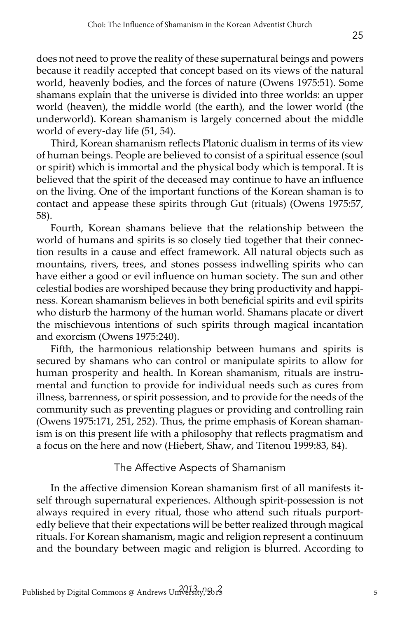does not need to prove the reality of these supernatural beings and powers because it readily accepted that concept based on its views of the natural world, heavenly bodies, and the forces of nature (Owens 1975:51). Some shamans explain that the universe is divided into three worlds: an upper world (heaven), the middle world (the earth), and the lower world (the underworld). Korean shamanism is largely concerned about the middle world of every-day life (51, 54).

Third, Korean shamanism reflects Platonic dualism in terms of its view of human beings. People are believed to consist of a spiritual essence (soul or spirit) which is immortal and the physical body which is temporal. It is believed that the spirit of the deceased may continue to have an influence on the living. One of the important functions of the Korean shaman is to contact and appease these spirits through Gut (rituals) (Owens 1975:57, 58).

Fourth, Korean shamans believe that the relationship between the world of humans and spirits is so closely tied together that their connection results in a cause and effect framework. All natural objects such as mountains, rivers, trees, and stones possess indwelling spirits who can have either a good or evil influence on human society. The sun and other celestial bodies are worshiped because they bring productivity and happiness. Korean shamanism believes in both beneficial spirits and evil spirits who disturb the harmony of the human world. Shamans placate or divert the mischievous intentions of such spirits through magical incantation and exorcism (Owens 1975:240).

Fifth, the harmonious relationship between humans and spirits is secured by shamans who can control or manipulate spirits to allow for human prosperity and health. In Korean shamanism, rituals are instrumental and function to provide for individual needs such as cures from illness, barrenness, or spirit possession, and to provide for the needs of the community such as preventing plagues or providing and controlling rain (Owens 1975:171, 251, 252). Thus, the prime emphasis of Korean shamanism is on this present life with a philosophy that reflects pragmatism and a focus on the here and now (Hiebert, Shaw, and Titenou 1999:83, 84).

## The Affective Aspects of Shamanism

In the affective dimension Korean shamanism first of all manifests itself through supernatural experiences. Although spirit-possession is not always required in every ritual, those who attend such rituals purportedly believe that their expectations will be better realized through magical rituals. For Korean shamanism, magic and religion represent a continuum and the boundary between magic and religion is blurred. According to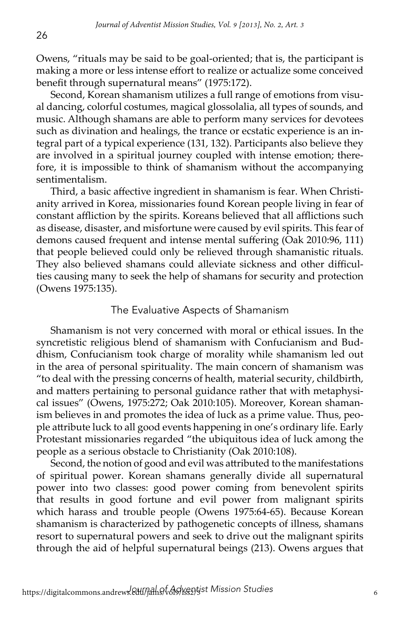Owens, "rituals may be said to be goal-oriented; that is, the participant is making a more or less intense effort to realize or actualize some conceived benefit through supernatural means" (1975:172).

Second, Korean shamanism utilizes a full range of emotions from visual dancing, colorful costumes, magical glossolalia, all types of sounds, and music. Although shamans are able to perform many services for devotees such as divination and healings, the trance or ecstatic experience is an integral part of a typical experience (131, 132). Participants also believe they are involved in a spiritual journey coupled with intense emotion; therefore, it is impossible to think of shamanism without the accompanying sentimentalism.

Third, a basic affective ingredient in shamanism is fear. When Christianity arrived in Korea, missionaries found Korean people living in fear of constant affliction by the spirits. Koreans believed that all afflictions such as disease, disaster, and misfortune were caused by evil spirits. This fear of demons caused frequent and intense mental suffering (Oak 2010:96, 111) that people believed could only be relieved through shamanistic rituals. They also believed shamans could alleviate sickness and other difficulties causing many to seek the help of shamans for security and protection (Owens 1975:135).

#### The Evaluative Aspects of Shamanism

Shamanism is not very concerned with moral or ethical issues. In the syncretistic religious blend of shamanism with Confucianism and Buddhism, Confucianism took charge of morality while shamanism led out in the area of personal spirituality. The main concern of shamanism was "to deal with the pressing concerns of health, material security, childbirth, and matters pertaining to personal guidance rather that with metaphysical issues" (Owens, 1975:272; Oak 2010:105). Moreover, Korean shamanism believes in and promotes the idea of luck as a prime value. Thus, people attribute luck to all good events happening in one's ordinary life. Early Protestant missionaries regarded "the ubiquitous idea of luck among the people as a serious obstacle to Christianity (Oak 2010:108).

Second, the notion of good and evil was attributed to the manifestations of spiritual power. Korean shamans generally divide all supernatural power into two classes: good power coming from benevolent spirits that results in good fortune and evil power from malignant spirits which harass and trouble people (Owens 1975:64-65). Because Korean shamanism is characterized by pathogenetic concepts of illness, shamans resort to supernatural powers and seek to drive out the malignant spirits through the aid of helpful supernatural beings (213). Owens argues that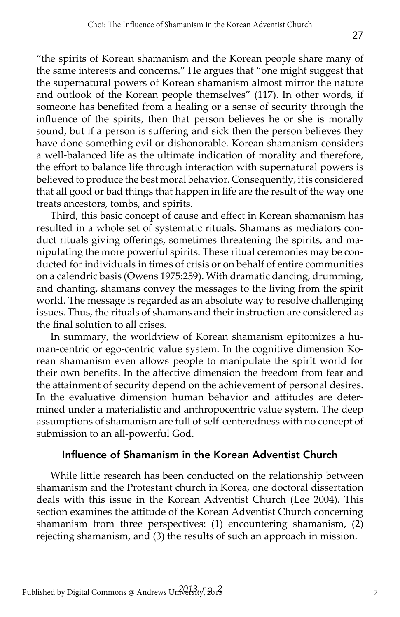"the spirits of Korean shamanism and the Korean people share many of the same interests and concerns." He argues that "one might suggest that the supernatural powers of Korean shamanism almost mirror the nature and outlook of the Korean people themselves" (117). In other words, if someone has benefited from a healing or a sense of security through the influence of the spirits, then that person believes he or she is morally sound, but if a person is suffering and sick then the person believes they have done something evil or dishonorable. Korean shamanism considers a well-balanced life as the ultimate indication of morality and therefore, the effort to balance life through interaction with supernatural powers is believed to produce the best moral behavior. Consequently, it is considered that all good or bad things that happen in life are the result of the way one treats ancestors, tombs, and spirits.

Third, this basic concept of cause and effect in Korean shamanism has resulted in a whole set of systematic rituals. Shamans as mediators conduct rituals giving offerings, sometimes threatening the spirits, and manipulating the more powerful spirits. These ritual ceremonies may be conducted for individuals in times of crisis or on behalf of entire communities on a calendric basis (Owens 1975:259). With dramatic dancing, drumming, and chanting, shamans convey the messages to the living from the spirit world. The message is regarded as an absolute way to resolve challenging issues. Thus, the rituals of shamans and their instruction are considered as the final solution to all crises.

In summary, the worldview of Korean shamanism epitomizes a human-centric or ego-centric value system. In the cognitive dimension Korean shamanism even allows people to manipulate the spirit world for their own benefits. In the affective dimension the freedom from fear and the attainment of security depend on the achievement of personal desires. In the evaluative dimension human behavior and attitudes are determined under a materialistic and anthropocentric value system. The deep assumptions of shamanism are full of self-centeredness with no concept of submission to an all-powerful God.

#### Influence of Shamanism in the Korean Adventist Church

While little research has been conducted on the relationship between shamanism and the Protestant church in Korea, one doctoral dissertation deals with this issue in the Korean Adventist Church (Lee 2004). This section examines the attitude of the Korean Adventist Church concerning shamanism from three perspectives: (1) encountering shamanism, (2) rejecting shamanism, and (3) the results of such an approach in mission.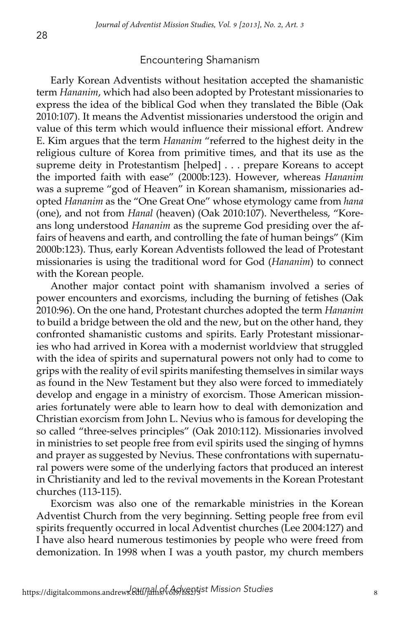#### Encountering Shamanism

Early Korean Adventists without hesitation accepted the shamanistic term *Hananim*, which had also been adopted by Protestant missionaries to express the idea of the biblical God when they translated the Bible (Oak 2010:107). It means the Adventist missionaries understood the origin and value of this term which would influence their missional effort. Andrew E. Kim argues that the term *Hananim* "referred to the highest deity in the religious culture of Korea from primitive times, and that its use as the supreme deity in Protestantism [helped] . . . prepare Koreans to accept the imported faith with ease" (2000b:123). However, whereas *Hananim* was a supreme "god of Heaven" in Korean shamanism, missionaries adopted *Hananim* as the "One Great One" whose etymology came from *hana*  (one), and not from *Hanal* (heaven) (Oak 2010:107). Nevertheless, "Koreans long understood *Hananim* as the supreme God presiding over the affairs of heavens and earth, and controlling the fate of human beings" (Kim 2000b:123). Thus, early Korean Adventists followed the lead of Protestant missionaries is using the traditional word for God (*Hananim*) to connect with the Korean people.

Another major contact point with shamanism involved a series of power encounters and exorcisms, including the burning of fetishes (Oak 2010:96). On the one hand, Protestant churches adopted the term *Hananim*  to build a bridge between the old and the new, but on the other hand, they confronted shamanistic customs and spirits. Early Protestant missionaries who had arrived in Korea with a modernist worldview that struggled with the idea of spirits and supernatural powers not only had to come to grips with the reality of evil spirits manifesting themselves in similar ways as found in the New Testament but they also were forced to immediately develop and engage in a ministry of exorcism. Those American missionaries fortunately were able to learn how to deal with demonization and Christian exorcism from John L. Nevius who is famous for developing the so called "three-selves principles" (Oak 2010:112). Missionaries involved in ministries to set people free from evil spirits used the singing of hymns and prayer as suggested by Nevius. These confrontations with supernatural powers were some of the underlying factors that produced an interest in Christianity and led to the revival movements in the Korean Protestant churches (113-115).

Exorcism was also one of the remarkable ministries in the Korean Adventist Church from the very beginning. Setting people free from evil spirits frequently occurred in local Adventist churches (Lee 2004:127) and I have also heard numerous testimonies by people who were freed from demonization. In 1998 when I was a youth pastor, my church members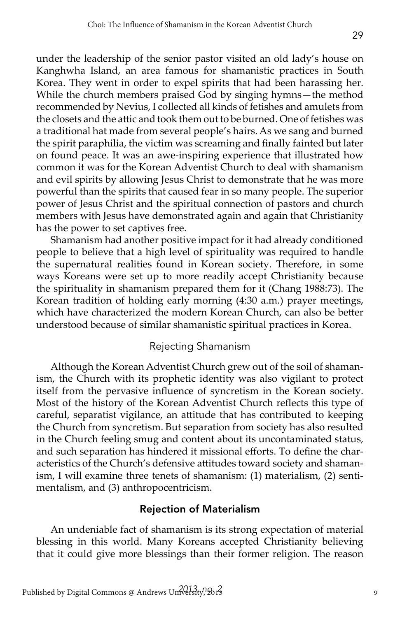under the leadership of the senior pastor visited an old lady's house on Kanghwha Island, an area famous for shamanistic practices in South Korea. They went in order to expel spirits that had been harassing her. While the church members praised God by singing hymns—the method recommended by Nevius, I collected all kinds of fetishes and amulets from the closets and the attic and took them out to be burned. One of fetishes was a traditional hat made from several people's hairs. As we sang and burned the spirit paraphilia, the victim was screaming and finally fainted but later on found peace. It was an awe-inspiring experience that illustrated how common it was for the Korean Adventist Church to deal with shamanism and evil spirits by allowing Jesus Christ to demonstrate that he was more powerful than the spirits that caused fear in so many people. The superior power of Jesus Christ and the spiritual connection of pastors and church members with Jesus have demonstrated again and again that Christianity has the power to set captives free.

Shamanism had another positive impact for it had already conditioned people to believe that a high level of spirituality was required to handle the supernatural realities found in Korean society. Therefore, in some ways Koreans were set up to more readily accept Christianity because the spirituality in shamanism prepared them for it (Chang 1988:73). The Korean tradition of holding early morning (4:30 a.m.) prayer meetings, which have characterized the modern Korean Church, can also be better understood because of similar shamanistic spiritual practices in Korea.

### Rejecting Shamanism

Although the Korean Adventist Church grew out of the soil of shamanism, the Church with its prophetic identity was also vigilant to protect itself from the pervasive influence of syncretism in the Korean society. Most of the history of the Korean Adventist Church reflects this type of careful, separatist vigilance, an attitude that has contributed to keeping the Church from syncretism. But separation from society has also resulted in the Church feeling smug and content about its uncontaminated status, and such separation has hindered it missional efforts. To define the characteristics of the Church's defensive attitudes toward society and shamanism, I will examine three tenets of shamanism: (1) materialism, (2) sentimentalism, and (3) anthropocentricism.

## Rejection of Materialism

An undeniable fact of shamanism is its strong expectation of material blessing in this world. Many Koreans accepted Christianity believing that it could give more blessings than their former religion. The reason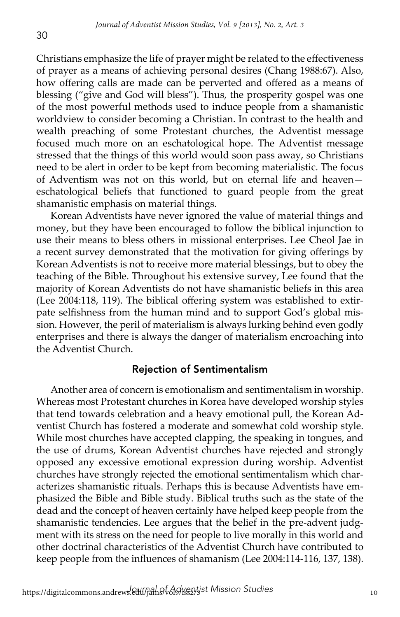Christians emphasize the life of prayer might be related to the effectiveness of prayer as a means of achieving personal desires (Chang 1988:67). Also, how offering calls are made can be perverted and offered as a means of blessing ("give and God will bless"). Thus, the prosperity gospel was one of the most powerful methods used to induce people from a shamanistic worldview to consider becoming a Christian. In contrast to the health and wealth preaching of some Protestant churches, the Adventist message focused much more on an eschatological hope. The Adventist message stressed that the things of this world would soon pass away, so Christians need to be alert in order to be kept from becoming materialistic. The focus of Adventism was not on this world, but on eternal life and heaven eschatological beliefs that functioned to guard people from the great shamanistic emphasis on material things.

Korean Adventists have never ignored the value of material things and money, but they have been encouraged to follow the biblical injunction to use their means to bless others in missional enterprises. Lee Cheol Jae in a recent survey demonstrated that the motivation for giving offerings by Korean Adventists is not to receive more material blessings, but to obey the teaching of the Bible. Throughout his extensive survey, Lee found that the majority of Korean Adventists do not have shamanistic beliefs in this area (Lee 2004:118, 119). The biblical offering system was established to extirpate selfishness from the human mind and to support God's global mission. However, the peril of materialism is always lurking behind even godly enterprises and there is always the danger of materialism encroaching into the Adventist Church.

### Rejection of Sentimentalism

Another area of concern is emotionalism and sentimentalism in worship. Whereas most Protestant churches in Korea have developed worship styles that tend towards celebration and a heavy emotional pull, the Korean Adventist Church has fostered a moderate and somewhat cold worship style. While most churches have accepted clapping, the speaking in tongues, and the use of drums, Korean Adventist churches have rejected and strongly opposed any excessive emotional expression during worship. Adventist churches have strongly rejected the emotional sentimentalism which characterizes shamanistic rituals. Perhaps this is because Adventists have emphasized the Bible and Bible study. Biblical truths such as the state of the dead and the concept of heaven certainly have helped keep people from the shamanistic tendencies. Lee argues that the belief in the pre-advent judgment with its stress on the need for people to live morally in this world and other doctrinal characteristics of the Adventist Church have contributed to keep people from the influences of shamanism (Lee 2004:114-116, 137, 138).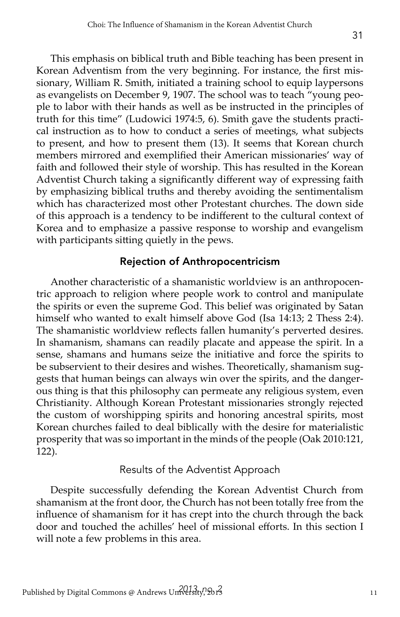This emphasis on biblical truth and Bible teaching has been present in Korean Adventism from the very beginning. For instance, the first missionary, William R. Smith, initiated a training school to equip laypersons as evangelists on December 9, 1907. The school was to teach "young people to labor with their hands as well as be instructed in the principles of truth for this time" (Ludowici 1974:5, 6). Smith gave the students practical instruction as to how to conduct a series of meetings, what subjects to present, and how to present them (13). It seems that Korean church members mirrored and exemplified their American missionaries' way of faith and followed their style of worship. This has resulted in the Korean Adventist Church taking a significantly different way of expressing faith by emphasizing biblical truths and thereby avoiding the sentimentalism which has characterized most other Protestant churches. The down side of this approach is a tendency to be indifferent to the cultural context of Korea and to emphasize a passive response to worship and evangelism with participants sitting quietly in the pews.

# Rejection of Anthropocentricism

Another characteristic of a shamanistic worldview is an anthropocentric approach to religion where people work to control and manipulate the spirits or even the supreme God. This belief was originated by Satan himself who wanted to exalt himself above God (Isa 14:13; 2 Thess 2:4). The shamanistic worldview reflects fallen humanity's perverted desires. In shamanism, shamans can readily placate and appease the spirit. In a sense, shamans and humans seize the initiative and force the spirits to be subservient to their desires and wishes. Theoretically, shamanism suggests that human beings can always win over the spirits, and the dangerous thing is that this philosophy can permeate any religious system, even Christianity. Although Korean Protestant missionaries strongly rejected the custom of worshipping spirits and honoring ancestral spirits, most Korean churches failed to deal biblically with the desire for materialistic prosperity that was so important in the minds of the people (Oak 2010:121, 122).

# Results of the Adventist Approach

Despite successfully defending the Korean Adventist Church from shamanism at the front door, the Church has not been totally free from the influence of shamanism for it has crept into the church through the back door and touched the achilles' heel of missional efforts. In this section I will note a few problems in this area.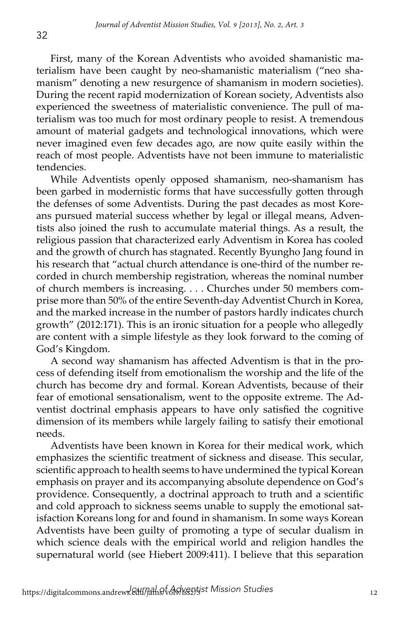First, many of the Korean Adventists who avoided shamanistic materialism have been caught by neo-shamanistic materialism ("neo shamanism" denoting a new resurgence of shamanism in modern societies). During the recent rapid modernization of Korean society, Adventists also experienced the sweetness of materialistic convenience. The pull of materialism was too much for most ordinary people to resist. A tremendous amount of material gadgets and technological innovations, which were never imagined even few decades ago, are now quite easily within the reach of most people. Adventists have not been immune to materialistic tendencies.

While Adventists openly opposed shamanism, neo-shamanism has been garbed in modernistic forms that have successfully gotten through the defenses of some Adventists. During the past decades as most Koreans pursued material success whether by legal or illegal means, Adventists also joined the rush to accumulate material things. As a result, the religious passion that characterized early Adventism in Korea has cooled and the growth of church has stagnated. Recently Byungho Jang found in his research that "actual church attendance is one-third of the number recorded in church membership registration, whereas the nominal number of church members is increasing. . . . Churches under 50 members comprise more than 50% of the entire Seventh-day Adventist Church in Korea, and the marked increase in the number of pastors hardly indicates church growth" (2012:171). This is an ironic situation for a people who allegedly are content with a simple lifestyle as they look forward to the coming of God's Kingdom.

A second way shamanism has affected Adventism is that in the process of defending itself from emotionalism the worship and the life of the church has become dry and formal. Korean Adventists, because of their fear of emotional sensationalism, went to the opposite extreme. The Adventist doctrinal emphasis appears to have only satisfied the cognitive dimension of its members while largely failing to satisfy their emotional needs.

Adventists have been known in Korea for their medical work, which emphasizes the scientific treatment of sickness and disease. This secular, scientific approach to health seems to have undermined the typical Korean emphasis on prayer and its accompanying absolute dependence on God's providence. Consequently, a doctrinal approach to truth and a scientific and cold approach to sickness seems unable to supply the emotional satisfaction Koreans long for and found in shamanism. In some ways Korean Adventists have been guilty of promoting a type of secular dualism in which science deals with the empirical world and religion handles the supernatural world (see Hiebert 2009:411). I believe that this separation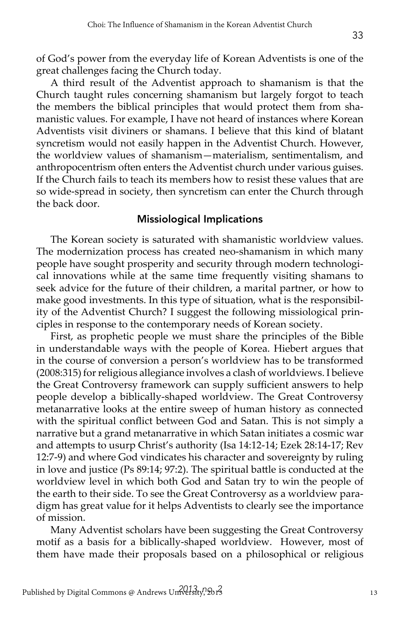of God's power from the everyday life of Korean Adventists is one of the great challenges facing the Church today.

A third result of the Adventist approach to shamanism is that the Church taught rules concerning shamanism but largely forgot to teach the members the biblical principles that would protect them from shamanistic values. For example, I have not heard of instances where Korean Adventists visit diviners or shamans. I believe that this kind of blatant syncretism would not easily happen in the Adventist Church. However, the worldview values of shamanism—materialism, sentimentalism, and anthropocentrism often enters the Adventist church under various guises. If the Church fails to teach its members how to resist these values that are so wide-spread in society, then syncretism can enter the Church through the back door.

## Missiological Implications

The Korean society is saturated with shamanistic worldview values. The modernization process has created neo-shamanism in which many people have sought prosperity and security through modern technological innovations while at the same time frequently visiting shamans to seek advice for the future of their children, a marital partner, or how to make good investments. In this type of situation, what is the responsibility of the Adventist Church? I suggest the following missiological principles in response to the contemporary needs of Korean society.

First, as prophetic people we must share the principles of the Bible in understandable ways with the people of Korea. Hiebert argues that in the course of conversion a person's worldview has to be transformed (2008:315) for religious allegiance involves a clash of worldviews. I believe the Great Controversy framework can supply sufficient answers to help people develop a biblically-shaped worldview. The Great Controversy metanarrative looks at the entire sweep of human history as connected with the spiritual conflict between God and Satan. This is not simply a narrative but a grand metanarrative in which Satan initiates a cosmic war and attempts to usurp Christ's authority (Isa 14:12-14; Ezek 28:14-17; Rev 12:7-9) and where God vindicates his character and sovereignty by ruling in love and justice (Ps 89:14; 97:2). The spiritual battle is conducted at the worldview level in which both God and Satan try to win the people of the earth to their side. To see the Great Controversy as a worldview paradigm has great value for it helps Adventists to clearly see the importance of mission.

Many Adventist scholars have been suggesting the Great Controversy motif as a basis for a biblically-shaped worldview. However, most of them have made their proposals based on a philosophical or religious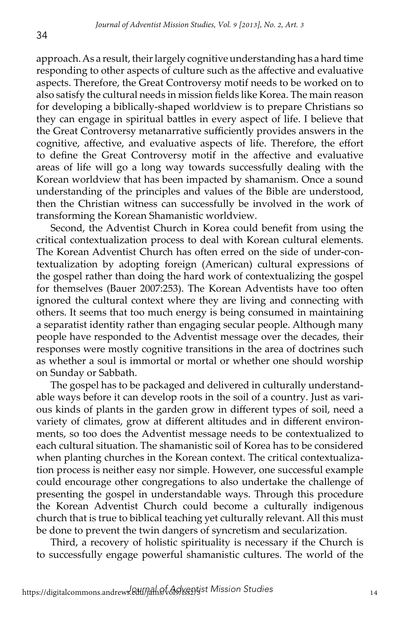approach. As a result, their largely cognitive understanding has a hard time responding to other aspects of culture such as the affective and evaluative aspects. Therefore, the Great Controversy motif needs to be worked on to also satisfy the cultural needs in mission fields like Korea. The main reason for developing a biblically-shaped worldview is to prepare Christians so they can engage in spiritual battles in every aspect of life. I believe that the Great Controversy metanarrative sufficiently provides answers in the cognitive, affective, and evaluative aspects of life. Therefore, the effort to define the Great Controversy motif in the affective and evaluative areas of life will go a long way towards successfully dealing with the Korean worldview that has been impacted by shamanism. Once a sound understanding of the principles and values of the Bible are understood, then the Christian witness can successfully be involved in the work of transforming the Korean Shamanistic worldview.

Second, the Adventist Church in Korea could benefit from using the critical contextualization process to deal with Korean cultural elements. The Korean Adventist Church has often erred on the side of under-contextualization by adopting foreign (American) cultural expressions of the gospel rather than doing the hard work of contextualizing the gospel for themselves (Bauer 2007:253). The Korean Adventists have too often ignored the cultural context where they are living and connecting with others. It seems that too much energy is being consumed in maintaining a separatist identity rather than engaging secular people. Although many people have responded to the Adventist message over the decades, their responses were mostly cognitive transitions in the area of doctrines such as whether a soul is immortal or mortal or whether one should worship on Sunday or Sabbath.

The gospel has to be packaged and delivered in culturally understandable ways before it can develop roots in the soil of a country. Just as various kinds of plants in the garden grow in different types of soil, need a variety of climates, grow at different altitudes and in different environments, so too does the Adventist message needs to be contextualized to each cultural situation. The shamanistic soil of Korea has to be considered when planting churches in the Korean context. The critical contextualization process is neither easy nor simple. However, one successful example could encourage other congregations to also undertake the challenge of presenting the gospel in understandable ways. Through this procedure the Korean Adventist Church could become a culturally indigenous church that is true to biblical teaching yet culturally relevant. All this must be done to prevent the twin dangers of syncretism and secularization.

Third, a recovery of holistic spirituality is necessary if the Church is to successfully engage powerful shamanistic cultures. The world of the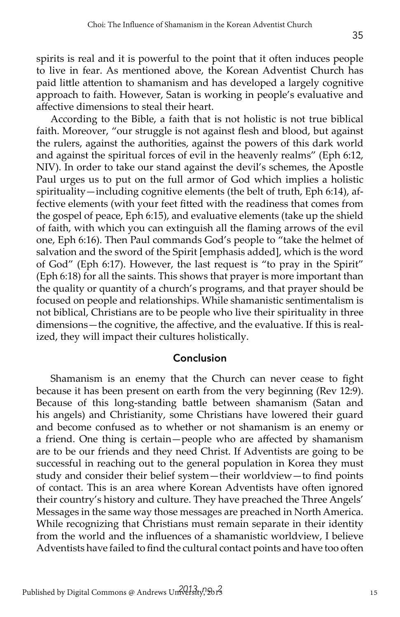spirits is real and it is powerful to the point that it often induces people to live in fear. As mentioned above, the Korean Adventist Church has paid little attention to shamanism and has developed a largely cognitive approach to faith. However, Satan is working in people's evaluative and affective dimensions to steal their heart.

According to the Bible, a faith that is not holistic is not true biblical faith. Moreover, "our struggle is not against flesh and blood, but against the rulers, against the authorities, against the powers of this dark world and against the spiritual forces of evil in the heavenly realms" (Eph 6:12, NIV). In order to take our stand against the devil's schemes, the Apostle Paul urges us to put on the full armor of God which implies a holistic spirituality—including cognitive elements (the belt of truth, Eph 6:14), affective elements (with your feet fitted with the readiness that comes from the gospel of peace, Eph 6:15), and evaluative elements (take up the shield of faith, with which you can extinguish all the flaming arrows of the evil one, Eph 6:16). Then Paul commands God's people to "take the helmet of salvation and the sword of the Spirit [emphasis added], which is the word of God" (Eph 6:17). However, the last request is "to pray in the Spirit" (Eph 6:18) for all the saints. This shows that prayer is more important than the quality or quantity of a church's programs, and that prayer should be focused on people and relationships. While shamanistic sentimentalism is not biblical, Christians are to be people who live their spirituality in three dimensions—the cognitive, the affective, and the evaluative. If this is realized, they will impact their cultures holistically.

#### Conclusion

Shamanism is an enemy that the Church can never cease to fight because it has been present on earth from the very beginning (Rev 12:9). Because of this long-standing battle between shamanism (Satan and his angels) and Christianity, some Christians have lowered their guard and become confused as to whether or not shamanism is an enemy or a friend. One thing is certain—people who are affected by shamanism are to be our friends and they need Christ. If Adventists are going to be successful in reaching out to the general population in Korea they must study and consider their belief system—their worldview—to find points of contact. This is an area where Korean Adventists have often ignored their country's history and culture. They have preached the Three Angels' Messages in the same way those messages are preached in North America. While recognizing that Christians must remain separate in their identity from the world and the influences of a shamanistic worldview, I believe Adventists have failed to find the cultural contact points and have too often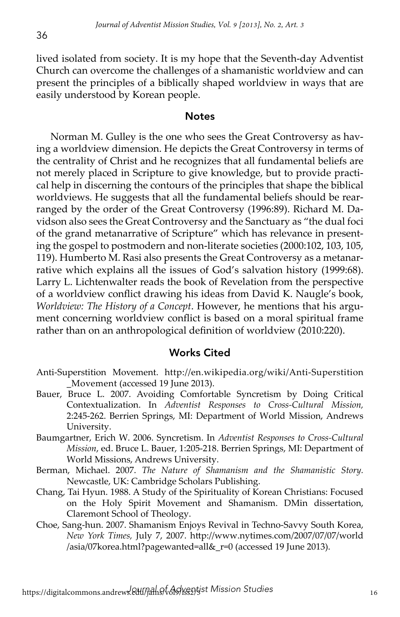lived isolated from society. It is my hope that the Seventh-day Adventist Church can overcome the challenges of a shamanistic worldview and can present the principles of a biblically shaped worldview in ways that are easily understood by Korean people.

### **Notes**

Norman M. Gulley is the one who sees the Great Controversy as having a worldview dimension. He depicts the Great Controversy in terms of the centrality of Christ and he recognizes that all fundamental beliefs are not merely placed in Scripture to give knowledge, but to provide practical help in discerning the contours of the principles that shape the biblical worldviews. He suggests that all the fundamental beliefs should be rearranged by the order of the Great Controversy (1996:89). Richard M. Davidson also sees the Great Controversy and the Sanctuary as "the dual foci of the grand metanarrative of Scripture" which has relevance in presenting the gospel to postmodern and non-literate societies (2000:102, 103, 105, 119). Humberto M. Rasi also presents the Great Controversy as a metanarrative which explains all the issues of God's salvation history (1999:68). Larry L. Lichtenwalter reads the book of Revelation from the perspective of a worldview conflict drawing his ideas from David K. Naugle's book, *Worldview: The History of a Concept*. However, he mentions that his argument concerning worldview conflict is based on a moral spiritual frame rather than on an anthropological definition of worldview (2010:220).

#### Works Cited

- Anti-Superstition Movement. http://en.wikipedia.org/wiki/Anti-Superstition \_Movement (accessed 19 June 2013).
- Bauer, Bruce L. 2007. Avoiding Comfortable Syncretism by Doing Critical Contextualization. In *Adventist Responses to Cross-Cultural Mission,*  2:245-262. Berrien Springs, MI: Department of World Mission, Andrews University.
- Baumgartner, Erich W. 2006. Syncretism. In *Adventist Responses to Cross-Cultural Mission*, ed. Bruce L. Bauer, 1:205-218. Berrien Springs, MI: Department of World Missions, Andrews University.
- Berman, Michael. 2007. *The Nature of Shamanism and the Shamanistic Story.* Newcastle, UK: Cambridge Scholars Publishing.
- Chang, Tai Hyun. 1988. A Study of the Spirituality of Korean Christians: Focused on the Holy Spirit Movement and Shamanism. DMin dissertation, Claremont School of Theology.
- Choe, Sang-hun. 2007. Shamanism Enjoys Revival in Techno-Savvy South Korea, *New York Times,* July 7, 2007. http://www.nytimes.com/2007/07/07/world /asia/07korea.html?pagewanted=all&\_r=0 (accessed 19 June 2013).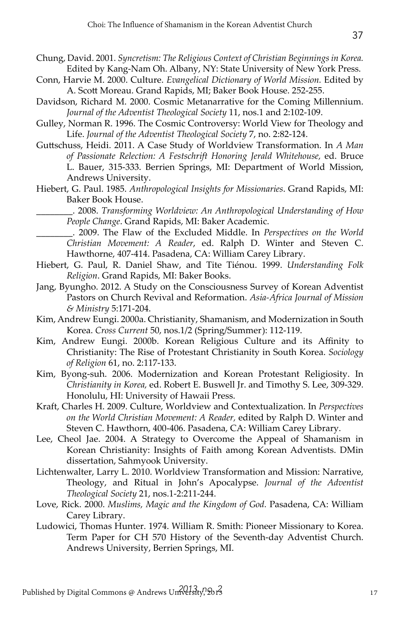- Conn, Harvie M. 2000. Culture. *Evangelical Dictionary of World Mission.* Edited by A. Scott Moreau. Grand Rapids, MI; Baker Book House. 252-255.
- Davidson, Richard M. 2000. Cosmic Metanarrative for the Coming Millennium. *Journal of the Adventist Theological Society* 11, nos.1 and 2:102-109.
- Gulley, Norman R. 1996. The Cosmic Controversy: World View for Theology and Life. *Journal of the Adventist Theological Society* 7, no. 2:82-124.
- Guttschuss, Heidi. 2011. A Case Study of Worldview Transformation. In *A Man of Passionate Relection: A Festschrift Honoring Jerald Whitehouse,* ed. Bruce L. Bauer, 315-333. Berrien Springs, MI: Department of World Mission, Andrews University.
- Hiebert, G. Paul. 1985. *Anthropological Insights for Missionaries*. Grand Rapids, MI: Baker Book House.

\_\_\_\_\_\_\_\_. 2008. *Transforming Worldview: An Anthropological Understanding of How People Change*. Grand Rapids, MI: Baker Academic.

\_\_\_\_\_\_\_\_. 2009. The Flaw of the Excluded Middle. In *Perspectives on the World Christian Movement: A Reader*, ed. Ralph D. Winter and Steven C. Hawthorne, 407-414. Pasadena, CA: William Carey Library.

- Hiebert, G. Paul, R. Daniel Shaw, and Tite Tiénou. 1999. *Understanding Folk Religion*. Grand Rapids, MI: Baker Books.
- Jang, Byungho. 2012. A Study on the Consciousness Survey of Korean Adventist Pastors on Church Revival and Reformation. *Asia-Africa Journal of Mission & Ministry* 5:171-204.
- Kim, Andrew Eungi. 2000a. Christianity, Shamanism, and Modernization in South Korea. *Cross Current* 50, nos.1/2 (Spring/Summer): 112-119.
- Kim, Andrew Eungi. 2000b. Korean Religious Culture and its Affinity to Christianity: The Rise of Protestant Christianity in South Korea. *Sociology of Religion* 61, no. 2:117-133.
- Kim, Byong-suh. 2006. Modernization and Korean Protestant Religiosity. In *Christianity in Korea,* ed. Robert E. Buswell Jr. and Timothy S. Lee, 309-329. Honolulu, HI: University of Hawaii Press.
- Kraft, Charles H. 2009. Culture, Worldview and Contextualization. In *Perspectives on the World Christian Movement: A Reader,* edited by Ralph D. Winter and Steven C. Hawthorn, 400-406. Pasadena, CA: William Carey Library.

Lee, Cheol Jae. 2004. A Strategy to Overcome the Appeal of Shamanism in Korean Christianity: Insights of Faith among Korean Adventists. DMin dissertation, Sahmyook University.

Lichtenwalter, Larry L. 2010. Worldview Transformation and Mission: Narrative, Theology, and Ritual in John's Apocalypse. *Journal of the Adventist Theological Society* 21, nos.1-2:211-244.

- Love, Rick. 2000. *Muslims, Magic and the Kingdom of God.* Pasadena, CA: William Carey Library.
- Ludowici, Thomas Hunter. 1974. William R. Smith: Pioneer Missionary to Korea. Term Paper for CH 570 History of the Seventh-day Adventist Church. Andrews University, Berrien Springs, MI.